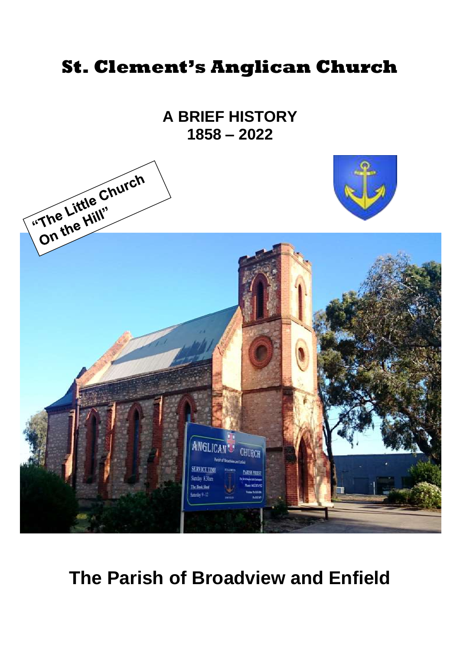# **St. Clement's Anglican Church**

**A BRIEF HISTORY 1858 – 2022**



# **The Parish of Broadview and Enfield**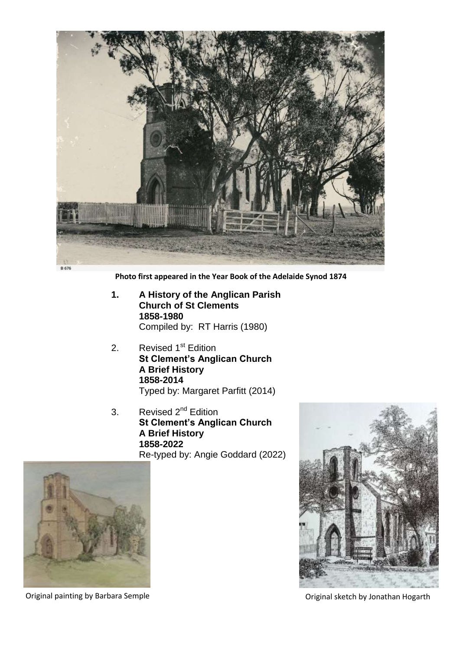

**Photo first appeared in the Year Book of the Adelaide Synod 1874**

- **1. A History of the Anglican Parish Church of St Clements 1858-1980** Compiled by: RT Harris (1980)
- 2. Revised 1<sup>st</sup> Edition **St Clement's Anglican Church A Brief History 1858-2014** Typed by: Margaret Parfitt (2014)
- 3. Revised 2<sup>nd</sup> Edition **St Clement's Anglican Church A Brief History 1858-2022** Re-typed by: Angie Goddard (2022)





Original painting by Barbara Semple Original sketch by Jonathan Hogarth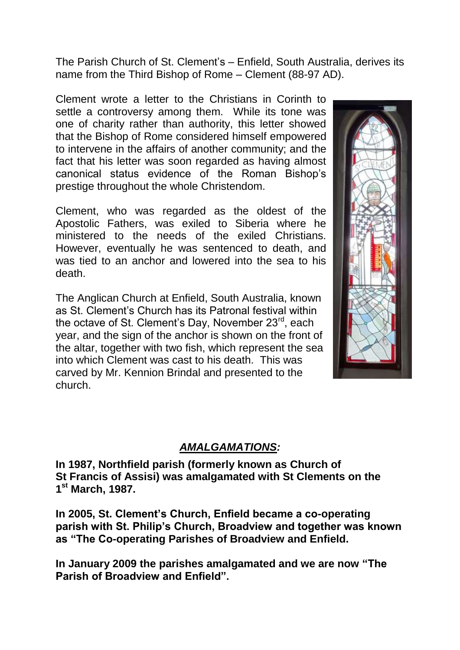The Parish Church of St. Clement's – Enfield, South Australia, derives its name from the Third Bishop of Rome – Clement (88-97 AD).

Clement wrote a letter to the Christians in Corinth to settle a controversy among them. While its tone was one of charity rather than authority, this letter showed that the Bishop of Rome considered himself empowered to intervene in the affairs of another community; and the fact that his letter was soon regarded as having almost canonical status evidence of the Roman Bishop's prestige throughout the whole Christendom.

Clement, who was regarded as the oldest of the Apostolic Fathers, was exiled to Siberia where he ministered to the needs of the exiled Christians. However, eventually he was sentenced to death, and was tied to an anchor and lowered into the sea to his death.

The Anglican Church at Enfield, South Australia, known as St. Clement's Church has its Patronal festival within the octave of St. Clement's Day, November 23<sup>rd</sup>, each year, and the sign of the anchor is shown on the front of the altar, together with two fish, which represent the sea into which Clement was cast to his death. This was carved by Mr. Kennion Brindal and presented to the church.



# *AMALGAMATIONS:*

**In 1987, Northfield parish (formerly known as Church of St Francis of Assisi) was amalgamated with St Clements on the 1 st March, 1987.**

**In 2005, St. Clement's Church, Enfield became a co-operating parish with St. Philip's Church, Broadview and together was known as "The Co-operating Parishes of Broadview and Enfield.**

**In January 2009 the parishes amalgamated and we are now "The Parish of Broadview and Enfield".**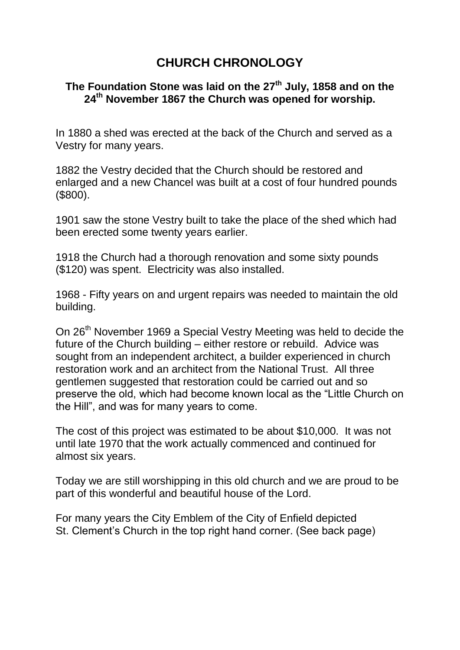# **CHURCH CHRONOLOGY**

# **The Foundation Stone was laid on the 27th July, 1858 and on the 24th November 1867 the Church was opened for worship.**

In 1880 a shed was erected at the back of the Church and served as a Vestry for many years.

1882 the Vestry decided that the Church should be restored and enlarged and a new Chancel was built at a cost of four hundred pounds (\$800).

1901 saw the stone Vestry built to take the place of the shed which had been erected some twenty years earlier.

1918 the Church had a thorough renovation and some sixty pounds (\$120) was spent. Electricity was also installed.

1968 - Fifty years on and urgent repairs was needed to maintain the old building.

On 26<sup>th</sup> November 1969 a Special Vestry Meeting was held to decide the future of the Church building – either restore or rebuild. Advice was sought from an independent architect, a builder experienced in church restoration work and an architect from the National Trust. All three gentlemen suggested that restoration could be carried out and so preserve the old, which had become known local as the "Little Church on the Hill", and was for many years to come.

The cost of this project was estimated to be about \$10,000. It was not until late 1970 that the work actually commenced and continued for almost six years.

Today we are still worshipping in this old church and we are proud to be part of this wonderful and beautiful house of the Lord.

For many years the City Emblem of the City of Enfield depicted St. Clement's Church in the top right hand corner. (See back page)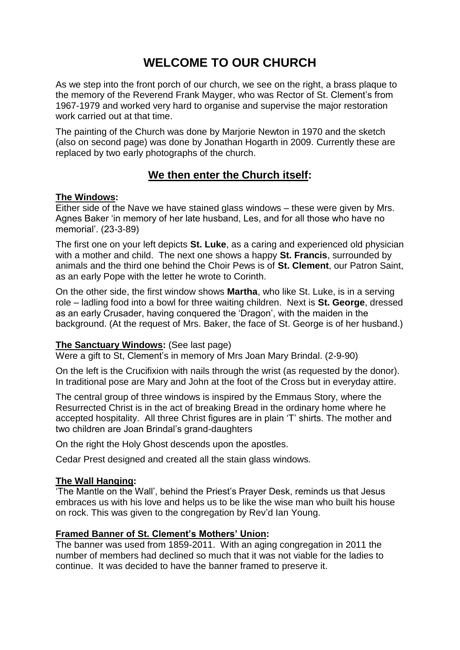# **WELCOME TO OUR CHURCH**

As we step into the front porch of our church, we see on the right, a brass plaque to the memory of the Reverend Frank Mayger, who was Rector of St. Clement's from 1967-1979 and worked very hard to organise and supervise the major restoration work carried out at that time.

The painting of the Church was done by Marjorie Newton in 1970 and the sketch (also on second page) was done by Jonathan Hogarth in 2009. Currently these are replaced by two early photographs of the church.

# **We then enter the Church itself:**

#### **The Windows:**

Either side of the Nave we have stained glass windows – these were given by Mrs. Agnes Baker 'in memory of her late husband, Les, and for all those who have no memorial'. (23-3-89)

The first one on your left depicts **St. Luke**, as a caring and experienced old physician with a mother and child. The next one shows a happy **St. Francis**, surrounded by animals and the third one behind the Choir Pews is of **St. Clement**, our Patron Saint, as an early Pope with the letter he wrote to Corinth.

On the other side, the first window shows **Martha**, who like St. Luke, is in a serving role – ladling food into a bowl for three waiting children. Next is **St. George**, dressed as an early Crusader, having conquered the 'Dragon', with the maiden in the background. (At the request of Mrs. Baker, the face of St. George is of her husband.)

#### **The Sanctuary Windows:** (See last page)

Were a gift to St, Clement's in memory of Mrs Joan Mary Brindal. (2-9-90)

On the left is the Crucifixion with nails through the wrist (as requested by the donor). In traditional pose are Mary and John at the foot of the Cross but in everyday attire.

The central group of three windows is inspired by the Emmaus Story, where the Resurrected Christ is in the act of breaking Bread in the ordinary home where he accepted hospitality. All three Christ figures are in plain 'T' shirts. The mother and two children are Joan Brindal's grand-daughters

On the right the Holy Ghost descends upon the apostles.

Cedar Prest designed and created all the stain glass windows.

#### **The Wall Hanging:**

'The Mantle on the Wall', behind the Priest's Prayer Desk, reminds us that Jesus embraces us with his love and helps us to be like the wise man who built his house on rock. This was given to the congregation by Rev'd Ian Young.

#### **Framed Banner of St. Clement's Mothers' Union:**

The banner was used from 1859-2011. With an aging congregation in 2011 the number of members had declined so much that it was not viable for the ladies to continue. It was decided to have the banner framed to preserve it.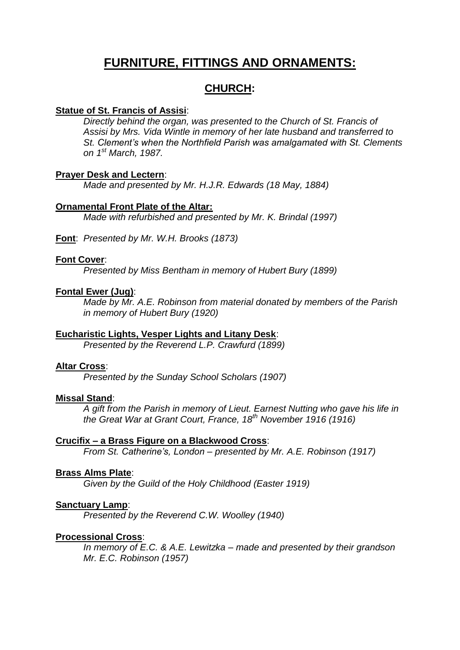# **FURNITURE, FITTINGS AND ORNAMENTS:**

# **CHURCH:**

#### **Statue of St. Francis of Assisi**:

*Directly behind the organ, was presented to the Church of St. Francis of Assisi by Mrs. Vida Wintle in memory of her late husband and transferred to St. Clement's when the Northfield Parish was amalgamated with St. Clements on 1st March, 1987.*

#### **Prayer Desk and Lectern**:

*Made and presented by Mr. H.J.R. Edwards (18 May, 1884)*

#### **Ornamental Front Plate of the Altar:**

*Made with refurbished and presented by Mr. K. Brindal (1997)*

**Font**: *Presented by Mr. W.H. Brooks (1873)*

#### **Font Cover**:

*Presented by Miss Bentham in memory of Hubert Bury (1899)*

#### **Fontal Ewer (Jug)**:

*Made by Mr. A.E. Robinson from material donated by members of the Parish in memory of Hubert Bury (1920)*

### **Eucharistic Lights, Vesper Lights and Litany Desk**:

*Presented by the Reverend L.P. Crawfurd (1899)*

#### **Altar Cross**:

*Presented by the Sunday School Scholars (1907)*

#### **Missal Stand**:

*A gift from the Parish in memory of Lieut. Earnest Nutting who gave his life in the Great War at Grant Court, France, 18th November 1916 (1916)*

#### **Crucifix – a Brass Figure on a Blackwood Cross**:

*From St. Catherine's, London – presented by Mr. A.E. Robinson (1917)*

#### **Brass Alms Plate**:

*Given by the Guild of the Holy Childhood (Easter 1919)*

#### **Sanctuary Lamp**:

*Presented by the Reverend C.W. Woolley (1940)*

#### **Processional Cross**:

*In memory of E.C. & A.E. Lewitzka – made and presented by their grandson Mr. E.C. Robinson (1957)*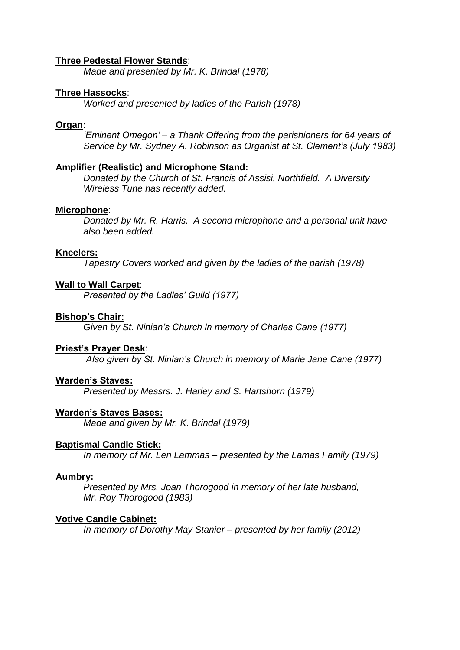#### **Three Pedestal Flower Stands**:

*Made and presented by Mr. K. Brindal (1978)*

#### **Three Hassocks**:

*Worked and presented by ladies of the Parish (1978)*

#### **Organ:**

*'Eminent Omegon' – a Thank Offering from the parishioners for 64 years of Service by Mr. Sydney A. Robinson as Organist at St. Clement's (July 1983)*

#### **Amplifier (Realistic) and Microphone Stand:**

*Donated by the Church of St. Francis of Assisi, Northfield. A Diversity Wireless Tune has recently added.*

#### **Microphone**:

*Donated by Mr. R. Harris. A second microphone and a personal unit have also been added.*

#### **Kneelers:**

*Tapestry Covers worked and given by the ladies of the parish (1978)*

#### **Wall to Wall Carpet**:

*Presented by the Ladies' Guild (1977)*

#### **Bishop's Chair:**

*Given by St. Ninian's Church in memory of Charles Cane (1977)*

#### **Priest's Prayer Desk**:

*Also given by St. Ninian's Church in memory of Marie Jane Cane (1977)*

#### **Warden's Staves:**

*Presented by Messrs. J. Harley and S. Hartshorn (1979)*

#### **Warden's Staves Bases:**

*Made and given by Mr. K. Brindal (1979)*

#### **Baptismal Candle Stick:**

*In memory of Mr. Len Lammas – presented by the Lamas Family (1979)*

#### **Aumbry:**

*Presented by Mrs. Joan Thorogood in memory of her late husband, Mr. Roy Thorogood (1983)*

#### **Votive Candle Cabinet:**

*In memory of Dorothy May Stanier – presented by her family (2012)*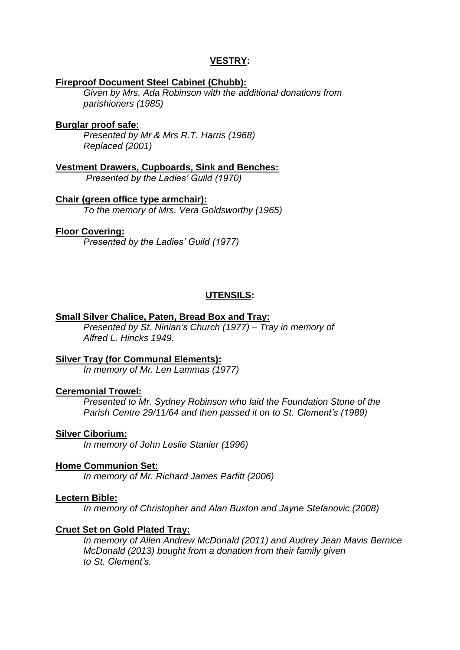### **VESTRY:**

#### **Fireproof Document Steel Cabinet (Chubb):**

*Given by Mrs. Ada Robinson with the additional donations from parishioners (1985)*

#### **Burglar proof safe:**

*Presented by Mr & Mrs R.T. Harris (1968) Replaced (2001)*

**Vestment Drawers, Cupboards, Sink and Benches:** *Presented by the Ladies' Guild (1970)*

# **Chair (green office type armchair):**

*To the memory of Mrs. Vera Goldsworthy (1965)*

#### **Floor Covering:**

*Presented by the Ladies' Guild (1977)*

# **UTENSILS:**

#### **Small Silver Chalice, Paten, Bread Box and Tray:**

*Presented by St. Ninian's Church (1977) – Tray in memory of Alfred L. Hincks 1949.*

### **Silver Tray (for Communal Elements):**

*In memory of Mr. Len Lammas (1977)*

#### **Ceremonial Trowel:**

*Presented to Mr. Sydney Robinson who laid the Foundation Stone of the Parish Centre 29/11/64 and then passed it on to St. Clement's (1989)*

#### **Silver Ciborium:**

*In memory of John Leslie Stanier (1996)*

### **Home Communion Set:**

*In memory of Mr. Richard James Parfitt (2006)*

#### **Lectern Bible:**

*In memory of Christopher and Alan Buxton and Jayne Stefanovic (2008)*

#### **Cruet Set on Gold Plated Tray:**

*In memory of Allen Andrew McDonald (2011) and Audrey Jean Mavis Bernice McDonald (2013) bought from a donation from their family given to St. Clement's.*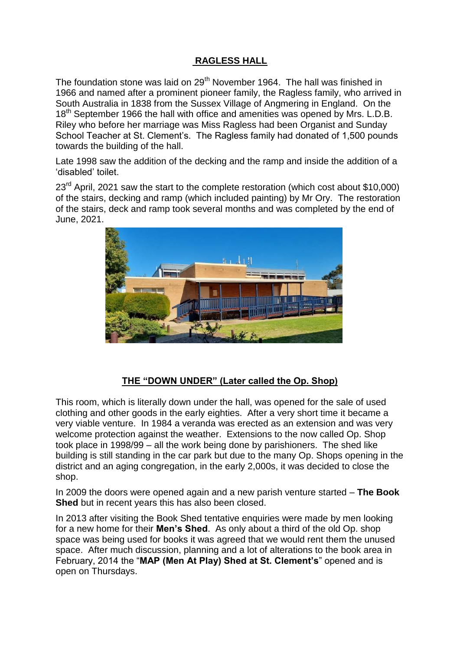# **RAGLESS HALL**

The foundation stone was laid on 29<sup>th</sup> November 1964. The hall was finished in 1966 and named after a prominent pioneer family, the Ragless family, who arrived in South Australia in 1838 from the Sussex Village of Angmering in England. On the 18<sup>th</sup> September 1966 the hall with office and amenities was opened by Mrs. L.D.B. Riley who before her marriage was Miss Ragless had been Organist and Sunday School Teacher at St. Clement's. The Ragless family had donated of 1,500 pounds towards the building of the hall.

Late 1998 saw the addition of the decking and the ramp and inside the addition of a 'disabled' toilet.

 $23<sup>rd</sup>$  April, 2021 saw the start to the complete restoration (which cost about \$10,000) of the stairs, decking and ramp (which included painting) by Mr Ory. The restoration of the stairs, deck and ramp took several months and was completed by the end of June, 2021.



### **THE "DOWN UNDER" (Later called the Op. Shop)**

This room, which is literally down under the hall, was opened for the sale of used clothing and other goods in the early eighties. After a very short time it became a very viable venture. In 1984 a veranda was erected as an extension and was very welcome protection against the weather. Extensions to the now called Op. Shop took place in 1998/99 – all the work being done by parishioners. The shed like building is still standing in the car park but due to the many Op. Shops opening in the district and an aging congregation, in the early 2,000s, it was decided to close the shop.

In 2009 the doors were opened again and a new parish venture started – **The Book Shed** but in recent years this has also been closed.

In 2013 after visiting the Book Shed tentative enquiries were made by men looking for a new home for their **Men's Shed**. As only about a third of the old Op. shop space was being used for books it was agreed that we would rent them the unused space. After much discussion, planning and a lot of alterations to the book area in February, 2014 the "**MAP (Men At Play) Shed at St. Clement's**" opened and is open on Thursdays.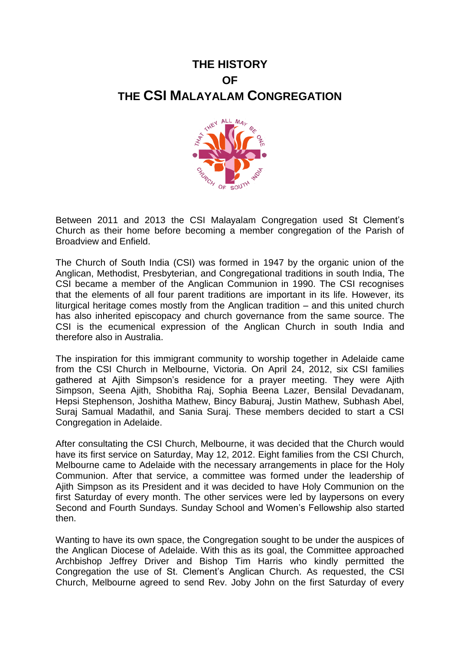# **THE HISTORY OF THE CSI MALAYALAM CONGREGATION**



Between 2011 and 2013 the CSI Malayalam Congregation used St Clement's Church as their home before becoming a member congregation of the Parish of Broadview and Enfield.

The Church of South India (CSI) was formed in 1947 by the organic union of the Anglican, Methodist, Presbyterian, and Congregational traditions in south India, The CSI became a member of the Anglican Communion in 1990. The CSI recognises that the elements of all four parent traditions are important in its life. However, its liturgical heritage comes mostly from the Anglican tradition – and this united church has also inherited episcopacy and church governance from the same source. The CSI is the ecumenical expression of the Anglican Church in south India and therefore also in Australia.

The inspiration for this immigrant community to worship together in Adelaide came from the CSI Church in Melbourne, Victoria. On April 24, 2012, six CSI families gathered at Ajith Simpson's residence for a prayer meeting. They were Ajith Simpson, Seena Ajith, Shobitha Raj, Sophia Beena Lazer, Bensilal Devadanam, Hepsi Stephenson, Joshitha Mathew, Bincy Baburaj, Justin Mathew, Subhash Abel, Suraj Samual Madathil, and Sania Suraj. These members decided to start a CSI Congregation in Adelaide.

After consultating the CSI Church, Melbourne, it was decided that the Church would have its first service on Saturday, May 12, 2012. Eight families from the CSI Church, Melbourne came to Adelaide with the necessary arrangements in place for the Holy Communion. After that service, a committee was formed under the leadership of Ajith Simpson as its President and it was decided to have Holy Communion on the first Saturday of every month. The other services were led by laypersons on every Second and Fourth Sundays. Sunday School and Women's Fellowship also started then.

Wanting to have its own space, the Congregation sought to be under the auspices of the Anglican Diocese of Adelaide. With this as its goal, the Committee approached Archbishop Jeffrey Driver and Bishop Tim Harris who kindly permitted the Congregation the use of St. Clement's Anglican Church. As requested, the CSI Church, Melbourne agreed to send Rev. Joby John on the first Saturday of every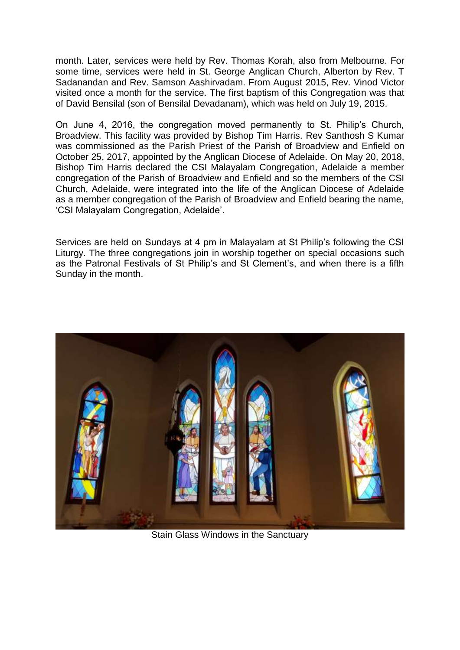month. Later, services were held by Rev. Thomas Korah, also from Melbourne. For some time, services were held in St. George Anglican Church, Alberton by Rev. T Sadanandan and Rev. Samson Aashirvadam. From August 2015, Rev. Vinod Victor visited once a month for the service. The first baptism of this Congregation was that of David Bensilal (son of Bensilal Devadanam), which was held on July 19, 2015.

On June 4, 2016, the congregation moved permanently to St. Philip's Church, Broadview. This facility was provided by Bishop Tim Harris. Rev Santhosh S Kumar was commissioned as the Parish Priest of the Parish of Broadview and Enfield on October 25, 2017, appointed by the Anglican Diocese of Adelaide. On May 20, 2018, Bishop Tim Harris declared the CSI Malayalam Congregation, Adelaide a member congregation of the Parish of Broadview and Enfield and so the members of the CSI Church, Adelaide, were integrated into the life of the Anglican Diocese of Adelaide as a member congregation of the Parish of Broadview and Enfield bearing the name, 'CSI Malayalam Congregation, Adelaide'.

Services are held on Sundays at 4 pm in Malayalam at St Philip's following the CSI Liturgy. The three congregations join in worship together on special occasions such as the Patronal Festivals of St Philip's and St Clement's, and when there is a fifth Sunday in the month.



Stain Glass Windows in the Sanctuary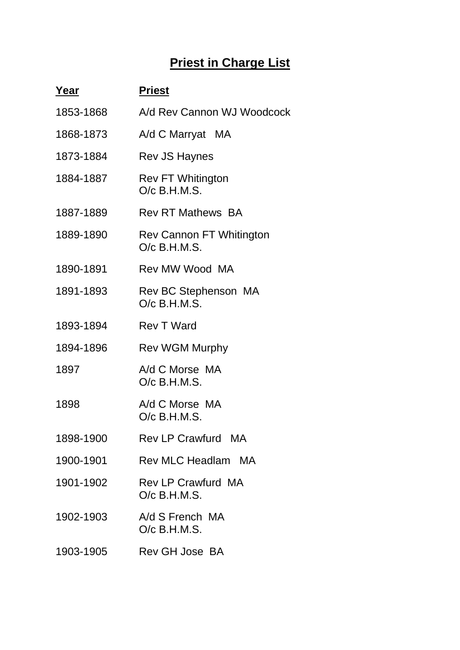# **Priest in Charge List**

| Year      | <b>Priest</b>                                     |
|-----------|---------------------------------------------------|
| 1853-1868 | A/d Rev Cannon WJ Woodcock                        |
| 1868-1873 | A/d C Marryat MA                                  |
| 1873-1884 | <b>Rev JS Haynes</b>                              |
| 1884-1887 | <b>Rev FT Whitington</b><br>$O/c$ B.H.M.S.        |
| 1887-1889 | <b>Rev RT Mathews BA</b>                          |
| 1889-1890 | <b>Rev Cannon FT Whitington</b><br>$O/c$ B.H.M.S. |
| 1890-1891 | Rev MW Wood MA                                    |
| 1891-1893 | Rev BC Stephenson MA<br>$O/c$ B.H.M.S.            |
| 1893-1894 | <b>Rev T Ward</b>                                 |
| 1894-1896 | <b>Rev WGM Murphy</b>                             |
| 1897      | A/d C Morse MA<br>O/c B.H.M.S.                    |
| 1898      | A/d C Morse MA<br>$O/c$ B.H.M.S.                  |
| 1898-1900 | Rev LP Crawfurd MA                                |
| 1900-1901 | Rev MLC Headlam MA                                |
| 1901-1902 | <b>Rev LP Crawfurd MA</b><br>$O/c$ B.H.M.S.       |
| 1902-1903 | A/d S French MA<br>$O/c$ B.H.M.S.                 |
| 1903-1905 | Rev GH Jose BA                                    |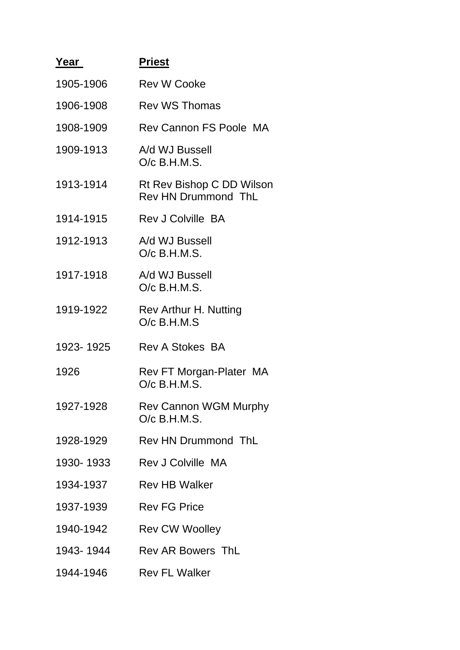| Yea <u>r_</u> | <b>Priest</b>                                           |
|---------------|---------------------------------------------------------|
| 1905-1906     | <b>Rev W Cooke</b>                                      |
| 1906-1908     | <b>Rev WS Thomas</b>                                    |
| 1908-1909     | <b>Rev Cannon FS Poole MA</b>                           |
| 1909-1913     | A/d WJ Bussell<br>$O/c$ B.H.M.S.                        |
| 1913-1914     | Rt Rev Bishop C DD Wilson<br><b>Rev HN Drummond ThL</b> |
| 1914-1915     | <b>Rev J Colville BA</b>                                |
| 1912-1913     | A/d WJ Bussell<br>$O/c$ B.H.M.S.                        |
| 1917-1918     | A/d WJ Bussell<br>$O/c$ B.H.M.S.                        |
| 1919-1922     | Rev Arthur H. Nutting<br>$O/c$ B.H.M.S                  |
| 1923-1925     | <b>Rev A Stokes BA</b>                                  |
| 1926          | Rev FT Morgan-Plater MA<br>$O/c$ B.H.M.S.               |
| 1927-1928     | <b>Rev Cannon WGM Murphy</b><br>O/c B.H.M.S.            |
| 1928-1929     | <b>Rev HN Drummond ThL</b>                              |
| 1930-1933     | Rev J Colville MA                                       |
| 1934-1937     | <b>Rev HB Walker</b>                                    |
| 1937-1939     | <b>Rev FG Price</b>                                     |
| 1940-1942     | <b>Rev CW Woolley</b>                                   |
| 1943-1944     | <b>Rev AR Bowers ThL</b>                                |
| 1944-1946     | <b>Rev FL Walker</b>                                    |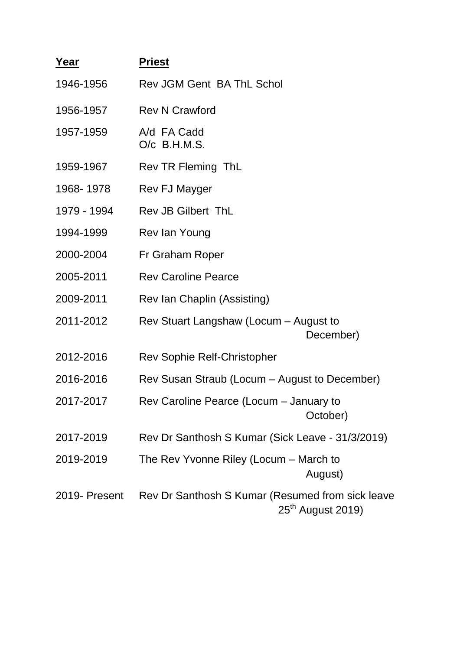| <u>Year</u>   | <b>Priest</b>                                                           |
|---------------|-------------------------------------------------------------------------|
| 1946-1956     | Rev JGM Gent BA ThL Schol                                               |
| 1956-1957     | <b>Rev N Crawford</b>                                                   |
| 1957-1959     | A/d FA Cadd<br>$O/c$ B.H.M.S.                                           |
| 1959-1967     | Rev TR Fleming ThL                                                      |
| 1968-1978     | Rev FJ Mayger                                                           |
| 1979 - 1994   | <b>Rev JB Gilbert ThL</b>                                               |
| 1994-1999     | Rev lan Young                                                           |
| 2000-2004     | Fr Graham Roper                                                         |
| 2005-2011     | <b>Rev Caroline Pearce</b>                                              |
| 2009-2011     | Rev Ian Chaplin (Assisting)                                             |
| 2011-2012     | Rev Stuart Langshaw (Locum - August to<br>December)                     |
| 2012-2016     | <b>Rev Sophie Relf-Christopher</b>                                      |
| 2016-2016     | Rev Susan Straub (Locum – August to December)                           |
| 2017-2017     | Rev Caroline Pearce (Locum - January to<br>October)                     |
| 2017-2019     | Rev Dr Santhosh S Kumar (Sick Leave - 31/3/2019)                        |
| 2019-2019     | The Rev Yvonne Riley (Locum - March to<br>August)                       |
| 2019- Present | Rev Dr Santhosh S Kumar (Resumed from sick leave<br>$25th$ August 2019) |